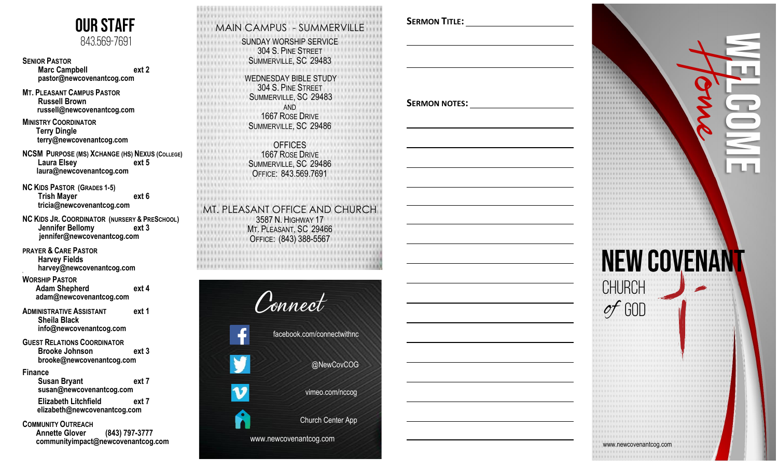

**SENIOR PASTOR Marc Campbell ext 2 [pastor@newcovenantcog.com](mailto:pastor@newcovenantcog.com)**

**MT. PLEASANT CAMPUS PASTOR Russell Brown [russell@newcovenantcog.com](mailto:russell@newcovenantcog.com)**

**MINISTRY COORDINATOR Terry Dingle [terry@newcovenantcog.com](mailto:terry@newcovenantcog.com)**

**NCSM PURPOSE (MS) XCHANGE (HS) NEXUS (COLLEGE ) Laura Elsey ext 5 laura@newcovenantcog.com**

**NC KIDS PASTOR (GRADES 1 -5) Trish Mayer ext 6 [tricia@newcovenantcog.com](mailto:tricia@newcovenantcog.com)**

**NC KIDS J R . COORDINATOR (NURSERY & PRE SCHOOL ) Jennifer Bellomy ext 3 [jennifer@newcovenantcog.com](mailto:jennifer@newcovenantcog.com)**

**PRAYER & CARE PASTOR Harvey Fields harvey [@newcovenantcog.com](mailto:harvey@newcovenantcog.com)**

#### **WORSHIP PASTOR Adam Shepherd ext 4 [adam@newcovenantcog.com](mailto:adam@newcovenantcog.com)**

**ADMINISTRATIVE ASSISTANT ext 1 Sheila Black [info@newcovenantcog.com](mailto:info@newcovenantcog.com)**

**GUEST RELATIONS COORDINATOR Brooke Johnson ext 3 brooke@newcovenantcog.com**

#### **Finance**

 **5**

 **Susan Bryant ext 7 susan@newcovenantcog.com** 

 **Elizabeth Litchfield ext 7 [elizabeth@newcovenantcog.com](mailto:elizabeth@newcovenantcog.com)**

#### **COMMUNITY OUTREACH**

 **Annette Glover (843) 797 -3777** 

*AVAVN* MAIN CAMPUS - SUMMERVILLE **SUNDAY WORSHIP SERVICE** 304 S. PINE STREET SUMMERVILLE, SC 29483 WEDNESDAY BIBLE STUDY 304 S. PINE S TREET 11111 SUMMERVILLE, SC 29483 AND 1667 ROSE DRIVE SUMMERVILLE, SC 29486 .............. **OFFICES** 1667 ROSE D RIVE SUMMERVILLE, SC 29486 **OFFICE: 843.569.7691 FEBRUARY AVENUES** MT. PLEASANT OFFICE AND CHURCH 3587 N. HIGHWAY 17 M T. PLEASANT, SC 29466 \*\*\*\*\*\*\*\*\*\*\*\*\*\* **OFFICE: (843) 388-5567** 



### **SERMON TITLE :**

**SERMON NOTES :**